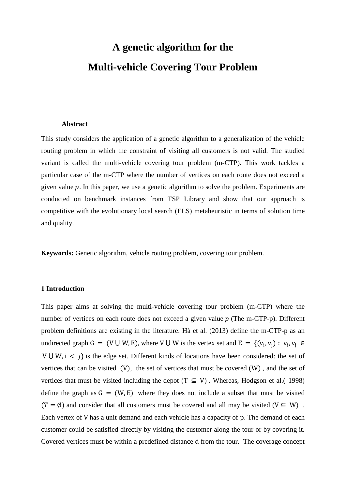# **A genetic algorithm for the Multi-vehicle Covering Tour Problem**

#### **Abstract**

This study considers the application of a genetic algorithm to a generalization of the vehicle routing problem in which the constraint of visiting all customers is not valid. The studied variant is called the multi-vehicle covering tour problem (m-CTP). This work tackles a particular case of the m-CTP where the number of vertices on each route does not exceed a given value  $p$ . In this paper, we use a genetic algorithm to solve the problem. Experiments are conducted on benchmark instances from TSP Library and show that our approach is competitive with the evolutionary local search (ELS) metaheuristic in terms of solution time and quality.

**Keywords:** Genetic algorithm, vehicle routing problem, covering tour problem.

# **1 Introduction**

This paper aims at solving the multi-vehicle covering tour problem (m-CTP) where the number of vertices on each route does not exceed a given value  $p$  (The m-CTP-p). Different problem definitions are existing in the literature. Hà et al. (2013) define the m-CTP-p as an undirected graph G = (V U W, E), where V U W is the vertex set and E = {( $v_i$ ,  $v_j$ ) :  $v_i$ ,  $v_j \in$ V  $\cup$  W,  $i < j$  is the edge set. Different kinds of locations have been considered: the set of vertices that can be visited (V), the set of vertices that must be covered (W) , and the set of vertices that must be visited including the depot (T  $\subseteq$  V). Whereas, Hodgson et al.( 1998) define the graph as  $G = (W, E)$  where they does not include a subset that must be visited  $(T = \emptyset)$  and consider that all customers must be covered and all may be visited ( $V \subseteq W$ ). Each vertex of V has a unit demand and each vehicle has a capacity of p. The demand of each customer could be satisfied directly by visiting the customer along the tour or by covering it. Covered vertices must be within a predefined distance d from the tour. The coverage concept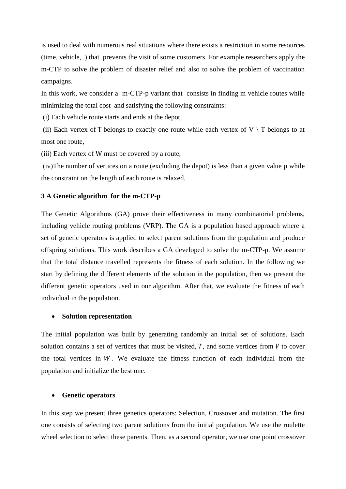is used to deal with numerous real situations where there exists a restriction in some resources (time, vehicle,..) that prevents the visit of some customers. For example researchers apply the m-CTP to solve the problem of disaster relief and also to solve the problem of vaccination campaigns.

In this work, we consider a m-CTP-p variant that consists in finding m vehicle routes while minimizing the total cost and satisfying the following constraints:

(i) Each vehicle route starts and ends at the depot,

(ii) Each vertex of T belongs to exactly one route while each vertex of  $V \setminus T$  belongs to at most one route,

(iii) Each vertex of W must be covered by a route,

(iv)The number of vertices on a route (excluding the depot) is less than a given value p while the constraint on the length of each route is relaxed.

## **3 A Genetic algorithm for the m-CTP-p**

The Genetic Algorithms (GA) prove their effectiveness in many combinatorial problems, including vehicle routing problems (VRP). The GA is a population based approach where a set of genetic operators is applied to select parent solutions from the population and produce offspring solutions. This work describes a GA developed to solve the m-CTP-p. We assume that the total distance travelled represents the fitness of each solution. In the following we start by defining the different elements of the solution in the population, then we present the different genetic operators used in our algorithm. After that, we evaluate the fitness of each individual in the population.

## **Solution representation**

The initial population was built by generating randomly an initial set of solutions. Each solution contains a set of vertices that must be visited,  $T$ , and some vertices from  $V$  to cover the total vertices in  $W$ . We evaluate the fitness function of each individual from the population and initialize the best one.

## **Genetic operators**

In this step we present three genetics operators: Selection, Crossover and mutation. The first one consists of selecting two parent solutions from the initial population. We use the roulette wheel selection to select these parents. Then, as a second operator, we use one point crossover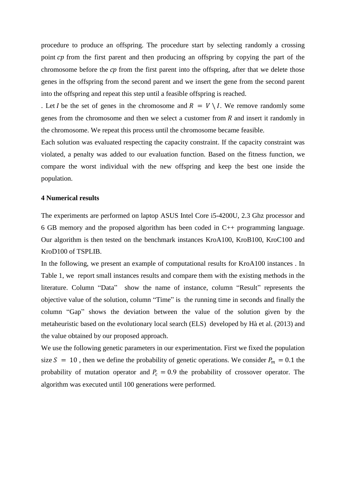procedure to produce an offspring. The procedure start by selecting randomly a crossing point cp from the first parent and then producing an offspring by copying the part of the chromosome before the  $cp$  from the first parent into the offspring, after that we delete those genes in the offspring from the second parent and we insert the gene from the second parent into the offspring and repeat this step until a feasible offspring is reached.

. Let *I* be the set of genes in the chromosome and  $R = V \setminus I$ . We remove randomly some genes from the chromosome and then we select a customer from  $R$  and insert it randomly in the chromosome. We repeat this process until the chromosome became feasible.

Each solution was evaluated respecting the capacity constraint. If the capacity constraint was violated, a penalty was added to our evaluation function. Based on the fitness function, we compare the worst individual with the new offspring and keep the best one inside the population.

#### **4 Numerical results**

The experiments are performed on laptop ASUS Intel Core i5-4200U, 2.3 Ghz processor and 6 GB memory and the proposed algorithm has been coded in C++ programming language. Our algorithm is then tested on the benchmark instances KroA100, KroB100, KroC100 and KroD100 of TSPLIB.

In the following, we present an example of computational results for KroA100 instances . In Table 1, we report small instances results and compare them with the existing methods in the literature. Column "Data" show the name of instance, column "Result" represents the objective value of the solution, column "Time" is the running time in seconds and finally the column "Gap" shows the deviation between the value of the solution given by the metaheuristic based on the evolutionary local search (ELS) developed by Hà et al. (2013) and the value obtained by our proposed approach.

We use the following genetic parameters in our experimentation. First we fixed the population size  $S = 10$ , then we define the probability of genetic operations. We consider  $P_m = 0.1$  the probability of mutation operator and  $P_c = 0.9$  the probability of crossover operator. The algorithm was executed until 100 generations were performed.